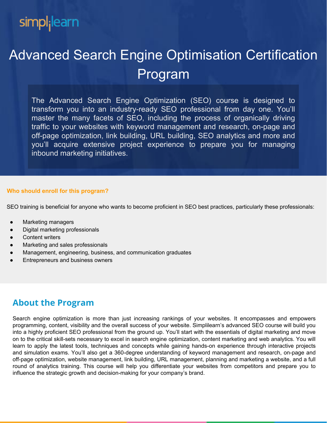# simpl<sub>i</sub>learn

# Advanced Search Engine Optimisation Certification Program

The Advanced Search Engine Optimization (SEO) course is designed to transform you into an industry-ready SEO professional from day one. You'll master the many facets of SEO, including the process of organically driving traffic to your websites with keyword management and research, on-page and off-page optimization, link building, URL building, SEO analytics and more and you'll acquire extensive project experience to prepare you for managing inbound marketing initiatives.

#### **Who should enroll for this program?**

SEO training is beneficial for anyone who wants to become proficient in SEO best practices, particularly these professionals:

- **Marketing managers**
- **Digital marketing professionals**
- Content writers
- Marketing and sales professionals
- Management, engineering, business, and communication graduates
- **Entrepreneurs and business owners**

## **About the Program**

Search engine optimization is more than just increasing rankings of your websites. It encompasses and empowers programming, content, visibility and the overall success of your website. Simplilearn's advanced SEO course will build you into a highly proficient SEO professional from the ground up. You'll start with the essentials of digital marketing and move on to the critical skill-sets necessary to excel in search engine optimization, content marketing and web analytics. You will learn to apply the latest tools, techniques and concepts while gaining hands-on experience through interactive projects and simulation exams. You'll also get a 360-degree understanding of keyword management and research, on-page and off-page optimization, website management, link building, URL management, planning and marketing a website, and a full round of analytics training. This course will help you differentiate your websites from competitors and prepare you to influence the strategic growth and decision-making for your company's brand.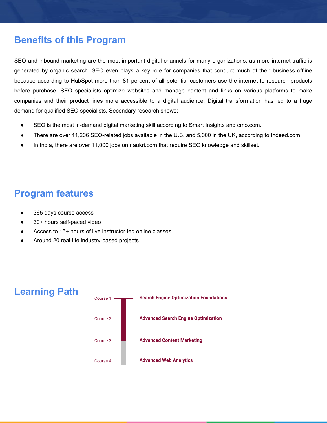## **Benefits of this Program**

SEO and inbound marketing are the most important digital channels for many organizations, as more internet traffic is generated by organic search. SEO even plays a key role for companies that conduct much of their business offline because according to HubSpot more than 81 percent of all potential customers use the internet to research products before purchase. SEO specialists optimize websites and manage content and links on various platforms to make companies and their product lines more accessible to a digital audience. Digital transformation has led to a huge demand for qualified SEO specialists. Secondary research shows:

- SEO is the most in-demand digital marketing skill according to Smart Insights and cmo.com.
- There are over 11,206 SEO-related jobs available in the U.S. and 5,000 in the UK, according to Indeed.com.
- In India, there are over 11,000 jobs on naukri.com that require SEO knowledge and skillset.

## **Program features**

- 365 days course access
- 30+ hours self-paced video
- Access to 15+ hours of live instructor-led online classes
- Around 20 real-life industry-based projects

## **Learning Path**

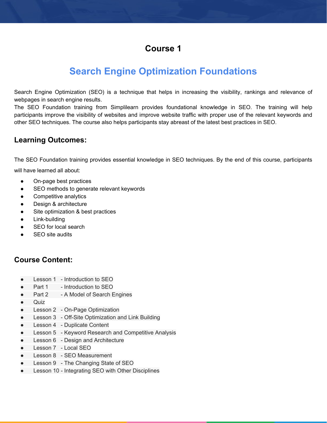## **Course 1**

# **Search Engine Optimization Foundations**

Search Engine Optimization (SEO) is a technique that helps in increasing the visibility, rankings and relevance of webpages in search engine results.

The SEO Foundation training from Simplilearn provides foundational knowledge in SEO. The training will help participants improve the visibility of websites and improve website traffic with proper use of the relevant keywords and other SEO techniques. The course also helps participants stay abreast of the latest best practices in SEO.

## **Learning Outcomes:**

The SEO Foundation training provides essential knowledge in SEO techniques. By the end of this course, participants

will have learned all about:

- On-page best practices
- SEO methods to generate relevant keywords
- Competitive analytics
- Design & architecture
- Site optimization & best practices
- Link-building
- SEO for local search
- SEO site audits

- Lesson 1 Introduction to SEO
- Part 1 Introduction to SEO
- Part 2 A Model of Search Engines
- Quiz
- Lesson 2 On-Page Optimization
- Lesson 3 Off-Site Optimization and Link Building
- Lesson 4 Duplicate Content
- Lesson 5 Keyword Research and Competitive Analysis
- Lesson 6 Design and Architecture
- Lesson 7 Local SEO
- Lesson 8 SEO Measurement
- Lesson 9 The Changing State of SEO
- Lesson 10 Integrating SEO with Other Disciplines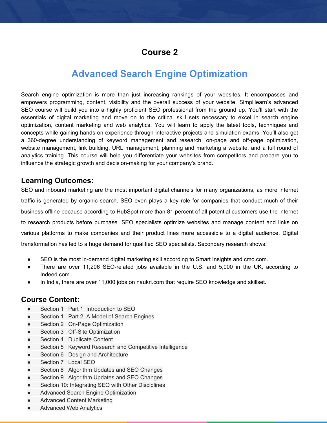## **Course 2**

## **Advanced Search Engine Optimization**

Search engine optimization is more than just increasing rankings of your websites. It encompasses and empowers programming, content, visibility and the overall success of your website. Simplilearn's advanced SEO course will build you into a highly proficient SEO professional from the ground up. You'll start with the essentials of digital marketing and move on to the critical skill sets necessary to excel in search engine optimization, content marketing and web analytics. You will learn to apply the latest tools, techniques and concepts while gaining hands-on experience through interactive projects and simulation exams. You'll also get a 360-degree understanding of keyword management and research, on-page and off-page optimization, website management, link building, URL management, planning and marketing a website, and a full round of analytics training. This course will help you differentiate your websites from competitors and prepare you to influence the strategic growth and decision-making for your company's brand.

#### **Learning Outcomes:**

SEO and inbound marketing are the most important digital channels for many organizations, as more internet traffic is generated by organic search. SEO even plays a key role for companies that conduct much of their business offline because according to HubSpot more than 81 percent of all potential customers use the internet to research products before purchase. SEO specialists optimize websites and manage content and links on various platforms to make companies and their product lines more accessible to a digital audience. Digital transformation has led to a huge demand for qualified SEO specialists. Secondary research shows:

- SEO is the most in-demand digital marketing skill according to Smart Insights and cmo.com.
- There are over 11,206 SEO-related jobs available in the U.S. and 5,000 in the UK, according to Indeed.com.
- In India, there are over 11,000 jobs on naukri.com that require SEO knowledge and skillset.

- Section 1 : Part 1: Introduction to SEO
- Section 1 : Part 2: A Model of Search Engines
- Section 2 : On-Page Optimization
- Section 3 : Off-Site Optimization
- Section 4 : Duplicate Content
- Section 5 : Keyword Research and Competitive Intelligence
- Section 6 : Design and Architecture
- Section 7 : Local SEO
- Section 8 : Algorithm Updates and SEO Changes
- Section 9 : Algorithm Updates and SEO Changes
- Section 10: Integrating SEO with Other Disciplines
- Advanced Search Engine Optimization
- **Advanced Content Marketing**
- **Advanced Web Analytics**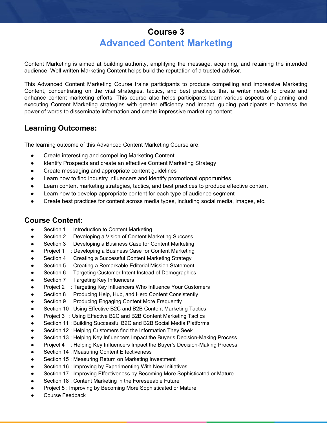## **Course 3 Advanced Content Marketing**

Content Marketing is aimed at building authority, amplifying the message, acquiring, and retaining the intended audience. Well written Marketing Content helps build the reputation of a trusted advisor.

This Advanced Content Marketing Course trains participants to produce compelling and impressive Marketing Content, concentrating on the vital strategies, tactics, and best practices that a writer needs to create and enhance content marketing efforts. This course also helps participants learn various aspects of planning and executing Content Marketing strategies with greater efficiency and impact, guiding participants to harness the power of words to disseminate information and create impressive marketing content.

## **Learning Outcomes:**

The learning outcome of this Advanced Content Marketing Course are:

- Create interesting and compelling Marketing Content
- Identify Prospects and create an effective Content Marketing Strategy
- Create messaging and appropriate content guidelines
- Learn how to find industry influencers and identify promotional opportunities
- Learn content marketing strategies, tactics, and best practices to produce effective content
- Learn how to develop appropriate content for each type of audience segment
- Create best practices for content across media types, including social media, images, etc.

- Section 1 : Introduction to Content Marketing
- Section 2 : Developing a Vision of Content Marketing Success
- Section 3 : Developing a Business Case for Content Marketing
- Project 1 : Developing a Business Case for Content Marketing
- Section 4 : Creating a Successful Content Marketing Strategy
- Section 5 : Creating a Remarkable Editorial Mission Statement
- Section 6 : Targeting Customer Intent Instead of Demographics
- Section 7 : Targeting Key Influencers
- Project 2 : Targeting Key Influencers Who Influence Your Customers
- Section 8 : Producing Help, Hub, and Hero Content Consistently
- Section 9 : Producing Engaging Content More Frequently
- Section 10 : Using Effective B2C and B2B Content Marketing Tactics
- Project 3 : Using Effective B2C and B2B Content Marketing Tactics
- Section 11 : Building Successful B2C and B2B Social Media Platforms
- Section 12 : Helping Customers find the Information They Seek
- Section 13 : Helping Key Influencers Impact the Buyer's Decision-Making Process
- Project 4 : Helping Key Influencers Impact the Buyer's Decision-Making Process
- Section 14 : Measuring Content Effectiveness
- Section 15 : Measuring Return on Marketing Investment
- Section 16 : Improving by Experimenting With New Initiatives
- Section 17 : Improving Effectiveness by Becoming More Sophisticated or Mature
- Section 18 : Content Marketing in the Foreseeable Future
- Project 5 : Improving by Becoming More Sophisticated or Mature
- Course Feedback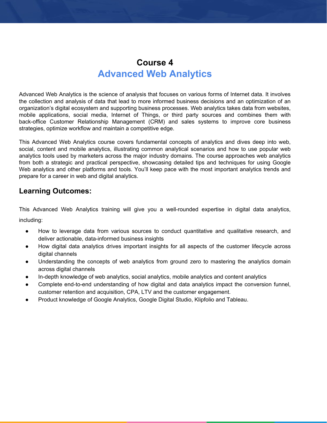## **Course 4 Advanced Web Analytics**

Advanced Web Analytics is the science of analysis that focuses on various forms of Internet data. It involves the collection and analysis of data that lead to more informed business decisions and an optimization of an organization's digital ecosystem and supporting business processes. Web analytics takes data from websites, mobile applications, social media, Internet of Things, or third party sources and combines them with back-office Customer Relationship Management (CRM) and sales systems to improve core business strategies, optimize workflow and maintain a competitive edge.

This Advanced Web Analytics course covers fundamental concepts of analytics and dives deep into web, social, content and mobile analytics, illustrating common analytical scenarios and how to use popular web analytics tools used by marketers across the major industry domains. The course approaches web analytics from both a strategic and practical perspective, showcasing detailed tips and techniques for using Google Web analytics and other platforms and tools. You'll keep pace with the most important analytics trends and prepare for a career in web and digital analytics.

#### **Learning Outcomes:**

This Advanced Web Analytics training will give you a well-rounded expertise in digital data analytics,

including:

- How to leverage data from various sources to conduct quantitative and qualitative research, and deliver actionable, data-informed business insights
- How digital data analytics drives important insights for all aspects of the customer lifecycle across digital channels
- Understanding the concepts of web analytics from ground zero to mastering the analytics domain across digital channels
- In-depth knowledge of web analytics, social analytics, mobile analytics and content analytics
- Complete end-to-end understanding of how digital and data analytics impact the conversion funnel, customer retention and acquisition, CPA, LTV and the customer engagement.
- Product knowledge of Google Analytics, Google Digital Studio, Klipfolio and Tableau.